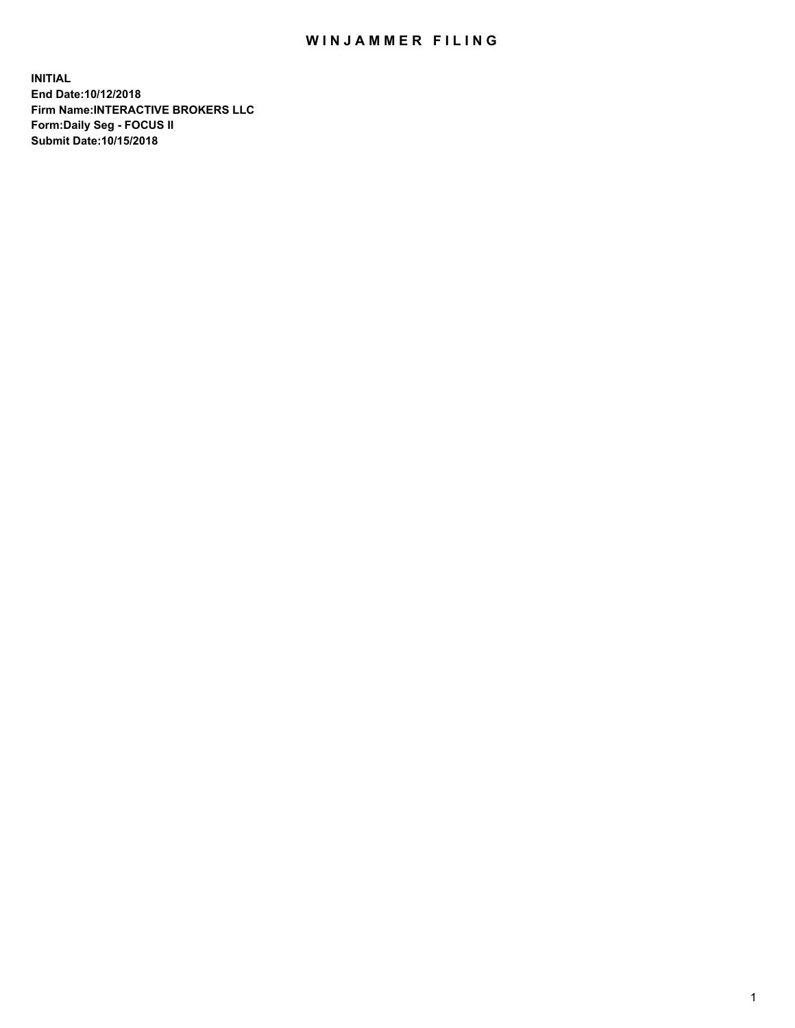## WIN JAMMER FILING

**INITIAL End Date:10/12/2018 Firm Name:INTERACTIVE BROKERS LLC Form:Daily Seg - FOCUS II Submit Date:10/15/2018**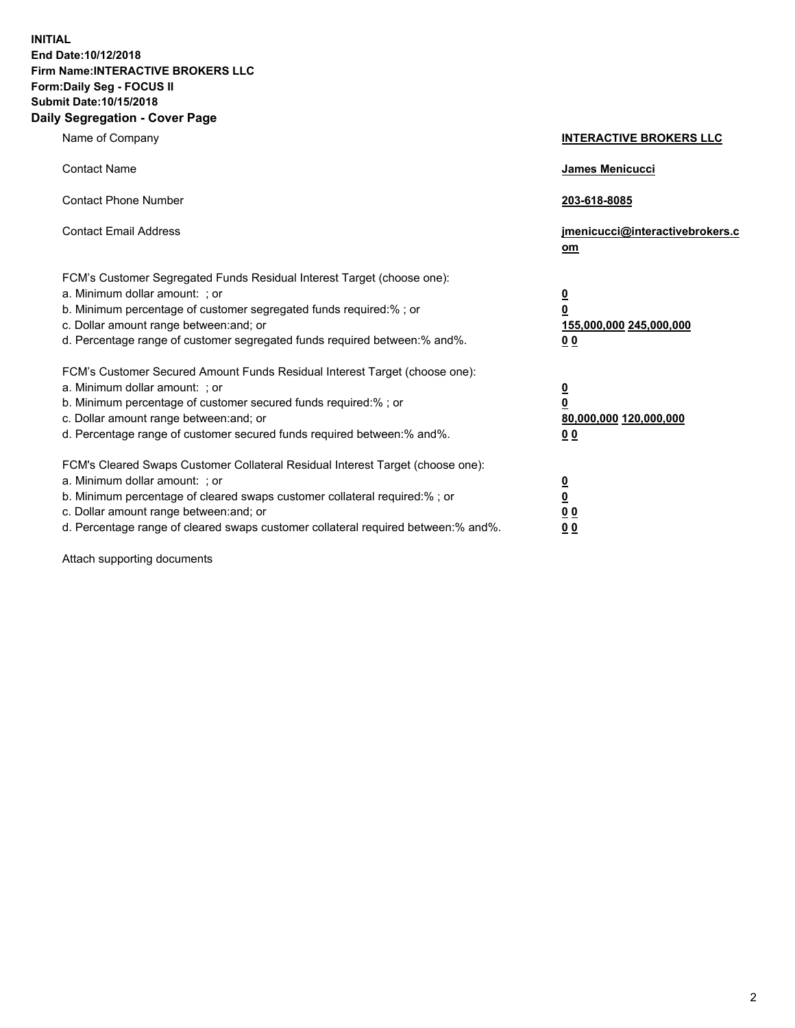**INITIAL End Date:10/12/2018 Firm Name:INTERACTIVE BROKERS LLC Form:Daily Seg - FOCUS II Submit Date:10/15/2018 Daily Segregation - Cover Page**

| Name of Company                                                                                                                                                                                                                                                                                                                | <b>INTERACTIVE BROKERS LLC</b>                                                                  |
|--------------------------------------------------------------------------------------------------------------------------------------------------------------------------------------------------------------------------------------------------------------------------------------------------------------------------------|-------------------------------------------------------------------------------------------------|
| <b>Contact Name</b>                                                                                                                                                                                                                                                                                                            | James Menicucci                                                                                 |
| <b>Contact Phone Number</b>                                                                                                                                                                                                                                                                                                    | 203-618-8085                                                                                    |
| <b>Contact Email Address</b>                                                                                                                                                                                                                                                                                                   | jmenicucci@interactivebrokers.c<br>om                                                           |
| FCM's Customer Segregated Funds Residual Interest Target (choose one):<br>a. Minimum dollar amount: ; or<br>b. Minimum percentage of customer segregated funds required:%; or<br>c. Dollar amount range between: and; or<br>d. Percentage range of customer segregated funds required between:% and%.                          | $\overline{\mathbf{0}}$<br>$\overline{\mathbf{0}}$<br>155,000,000 245,000,000<br>0 <sub>0</sub> |
| FCM's Customer Secured Amount Funds Residual Interest Target (choose one):<br>a. Minimum dollar amount: ; or<br>b. Minimum percentage of customer secured funds required:% ; or<br>c. Dollar amount range between: and; or<br>d. Percentage range of customer secured funds required between:% and%.                           | $\overline{\mathbf{0}}$<br>$\overline{\mathbf{0}}$<br>80,000,000 120,000,000<br>0 <sub>0</sub>  |
| FCM's Cleared Swaps Customer Collateral Residual Interest Target (choose one):<br>a. Minimum dollar amount: ; or<br>b. Minimum percentage of cleared swaps customer collateral required:% ; or<br>c. Dollar amount range between: and; or<br>d. Percentage range of cleared swaps customer collateral required between:% and%. | $\overline{\mathbf{0}}$<br>$\underline{\mathbf{0}}$<br>0 <sub>0</sub><br>0 <sub>0</sub>         |

Attach supporting documents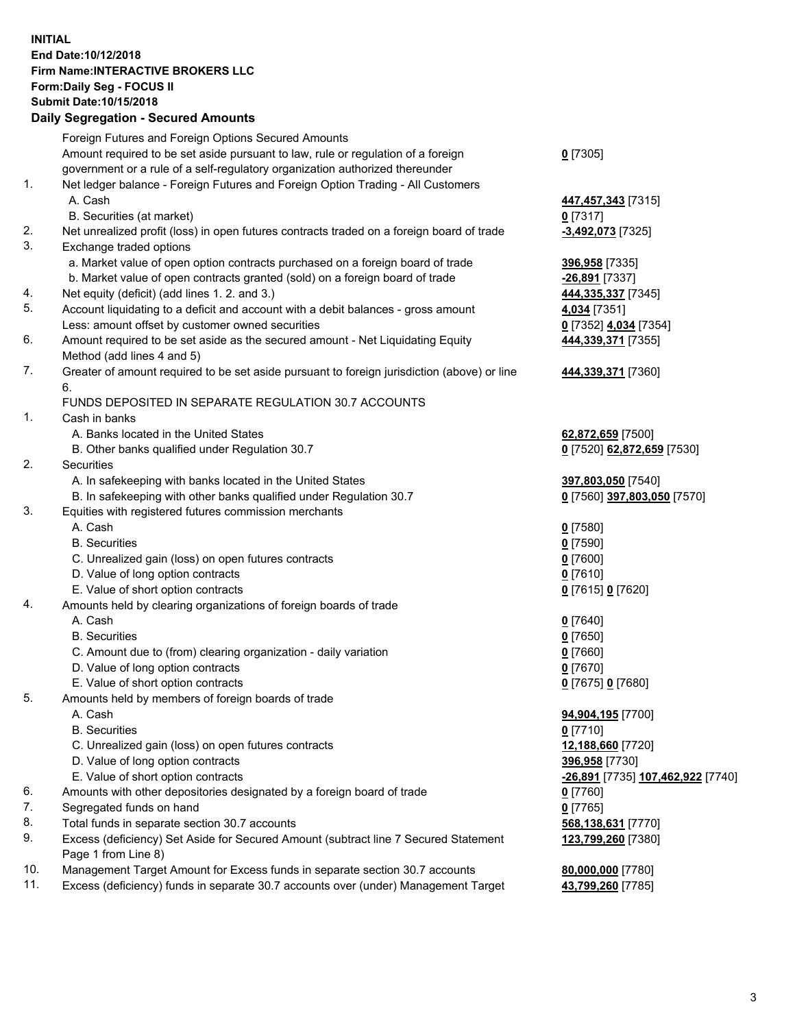## **INITIAL End Date:10/12/2018 Firm Name:INTERACTIVE BROKERS LLC Form:Daily Seg - FOCUS II Submit Date:10/15/2018 Daily Segregation - Secured Amounts**

|     | Dally Segregation - Secured Amounts                                                         |                                   |
|-----|---------------------------------------------------------------------------------------------|-----------------------------------|
|     | Foreign Futures and Foreign Options Secured Amounts                                         |                                   |
|     | Amount required to be set aside pursuant to law, rule or regulation of a foreign            | $0$ [7305]                        |
|     | government or a rule of a self-regulatory organization authorized thereunder                |                                   |
| 1.  | Net ledger balance - Foreign Futures and Foreign Option Trading - All Customers             |                                   |
|     | A. Cash                                                                                     | 447,457,343 [7315]                |
|     | B. Securities (at market)                                                                   | $0$ [7317]                        |
| 2.  | Net unrealized profit (loss) in open futures contracts traded on a foreign board of trade   | -3,492,073 [7325]                 |
| 3.  | Exchange traded options                                                                     |                                   |
|     | a. Market value of open option contracts purchased on a foreign board of trade              | 396,958 [7335]                    |
|     | b. Market value of open contracts granted (sold) on a foreign board of trade                | $-26,891$ [7337]                  |
| 4.  | Net equity (deficit) (add lines 1. 2. and 3.)                                               | 444, 335, 337 [7345]              |
| 5.  | Account liquidating to a deficit and account with a debit balances - gross amount           | 4,034 [7351]                      |
|     | Less: amount offset by customer owned securities                                            | 0 [7352] 4,034 [7354]             |
| 6.  | Amount required to be set aside as the secured amount - Net Liquidating Equity              | 444,339,371 [7355]                |
|     | Method (add lines 4 and 5)                                                                  |                                   |
| 7.  | Greater of amount required to be set aside pursuant to foreign jurisdiction (above) or line | 444,339,371 [7360]                |
|     | 6.                                                                                          |                                   |
|     | FUNDS DEPOSITED IN SEPARATE REGULATION 30.7 ACCOUNTS                                        |                                   |
| 1.  | Cash in banks                                                                               |                                   |
|     | A. Banks located in the United States                                                       | 62,872,659 [7500]                 |
|     | B. Other banks qualified under Regulation 30.7                                              | 0 [7520] 62,872,659 [7530]        |
| 2.  | Securities                                                                                  |                                   |
|     | A. In safekeeping with banks located in the United States                                   | 397,803,050 [7540]                |
|     | B. In safekeeping with other banks qualified under Regulation 30.7                          | 0 [7560] 397,803,050 [7570]       |
| 3.  | Equities with registered futures commission merchants                                       |                                   |
|     | A. Cash                                                                                     | $0$ [7580]                        |
|     | <b>B.</b> Securities                                                                        | $0$ [7590]                        |
|     | C. Unrealized gain (loss) on open futures contracts                                         | $0$ [7600]                        |
|     | D. Value of long option contracts                                                           | $0$ [7610]                        |
|     | E. Value of short option contracts                                                          | 0 [7615] 0 [7620]                 |
| 4.  | Amounts held by clearing organizations of foreign boards of trade                           |                                   |
|     | A. Cash                                                                                     | $0$ [7640]                        |
|     | <b>B.</b> Securities                                                                        |                                   |
|     |                                                                                             | $0$ [7650]                        |
|     | C. Amount due to (from) clearing organization - daily variation                             | $0$ [7660]                        |
|     | D. Value of long option contracts                                                           | $0$ [7670]                        |
|     | E. Value of short option contracts                                                          | 0 [7675] 0 [7680]                 |
| 5.  | Amounts held by members of foreign boards of trade                                          |                                   |
|     | A. Cash                                                                                     | 94,904,195 [7700]                 |
|     | <b>B.</b> Securities                                                                        | $0$ [7710]                        |
|     | C. Unrealized gain (loss) on open futures contracts                                         | 12,188,660 [7720]                 |
|     | D. Value of long option contracts                                                           | 396,958 [7730]                    |
|     | E. Value of short option contracts                                                          | -26,891 [7735] 107,462,922 [7740] |
| 6.  | Amounts with other depositories designated by a foreign board of trade                      | $0$ [7760]                        |
| 7.  | Segregated funds on hand                                                                    | $0$ [7765]                        |
| 8.  | Total funds in separate section 30.7 accounts                                               | 568,138,631 [7770]                |
| 9.  | Excess (deficiency) Set Aside for Secured Amount (subtract line 7 Secured Statement         | 123,799,260 [7380]                |
|     | Page 1 from Line 8)                                                                         |                                   |
| 10. | Management Target Amount for Excess funds in separate section 30.7 accounts                 | 80,000,000 [7780]                 |
| 11. | Excess (deficiency) funds in separate 30.7 accounts over (under) Management Target          | 43,799,260 [7785]                 |
|     |                                                                                             |                                   |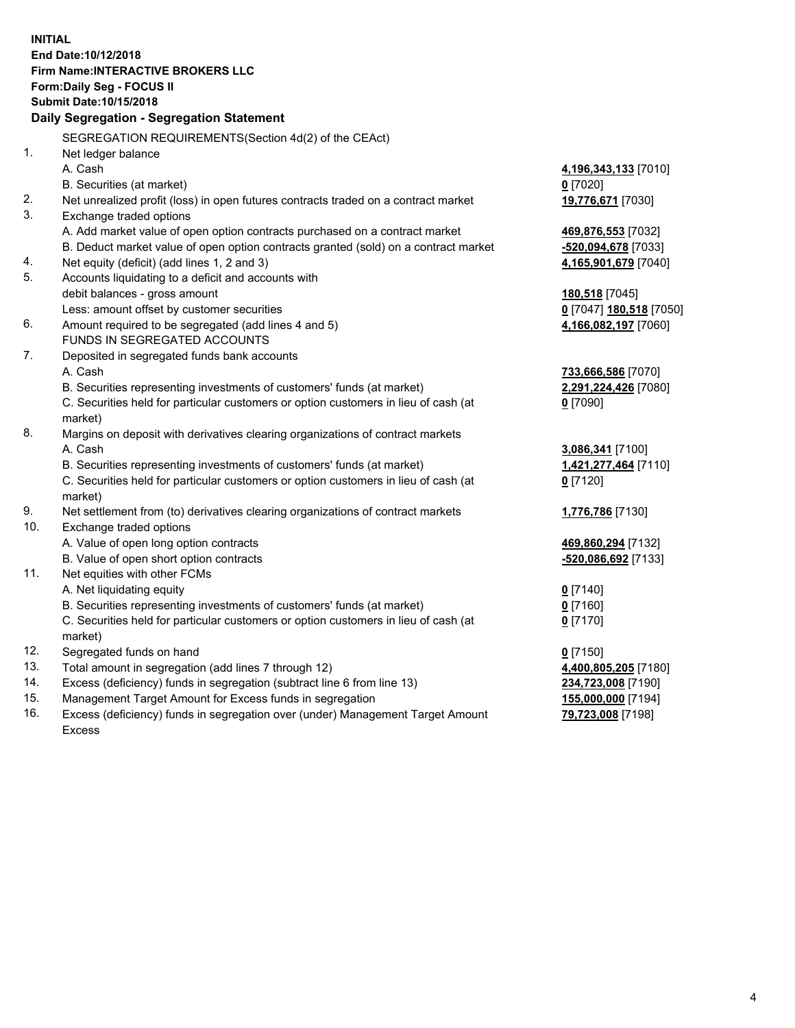**INITIAL End Date:10/12/2018 Firm Name:INTERACTIVE BROKERS LLC Form:Daily Seg - FOCUS II Submit Date:10/15/2018 Daily Segregation - Segregation Statement** SEGREGATION REQUIREMENTS(Section 4d(2) of the CEAct) 1. Net ledger balance A. Cash **4,196,343,133** [7010] B. Securities (at market) **0** [7020] 2. Net unrealized profit (loss) in open futures contracts traded on a contract market **19,776,671** [7030] 3. Exchange traded options A. Add market value of open option contracts purchased on a contract market **469,876,553** [7032] B. Deduct market value of open option contracts granted (sold) on a contract market **-520,094,678** [7033] 4. Net equity (deficit) (add lines 1, 2 and 3) **4,165,901,679** [7040] 5. Accounts liquidating to a deficit and accounts with debit balances - gross amount **180,518** [7045] Less: amount offset by customer securities **0** [7047] **180,518** [7050] 6. Amount required to be segregated (add lines 4 and 5) **4,166,082,197** [7060] FUNDS IN SEGREGATED ACCOUNTS 7. Deposited in segregated funds bank accounts A. Cash **733,666,586** [7070] B. Securities representing investments of customers' funds (at market) **2,291,224,426** [7080] C. Securities held for particular customers or option customers in lieu of cash (at market) **0** [7090] 8. Margins on deposit with derivatives clearing organizations of contract markets A. Cash **3,086,341** [7100] B. Securities representing investments of customers' funds (at market) **1,421,277,464** [7110] C. Securities held for particular customers or option customers in lieu of cash (at market) **0** [7120] 9. Net settlement from (to) derivatives clearing organizations of contract markets **1,776,786** [7130] 10. Exchange traded options A. Value of open long option contracts **469,860,294** [7132] B. Value of open short option contracts **-520,086,692** [7133] 11. Net equities with other FCMs A. Net liquidating equity **0** [7140] B. Securities representing investments of customers' funds (at market) **0** [7160] C. Securities held for particular customers or option customers in lieu of cash (at market) **0** [7170] 12. Segregated funds on hand **0** [7150] 13. Total amount in segregation (add lines 7 through 12) **4,400,805,205** [7180] 14. Excess (deficiency) funds in segregation (subtract line 6 from line 13) **234,723,008** [7190] 15. Management Target Amount for Excess funds in segregation **155,000,000** [7194] 16. Excess (deficiency) funds in segregation over (under) Management Target Amount **79,723,008** [7198]

Excess